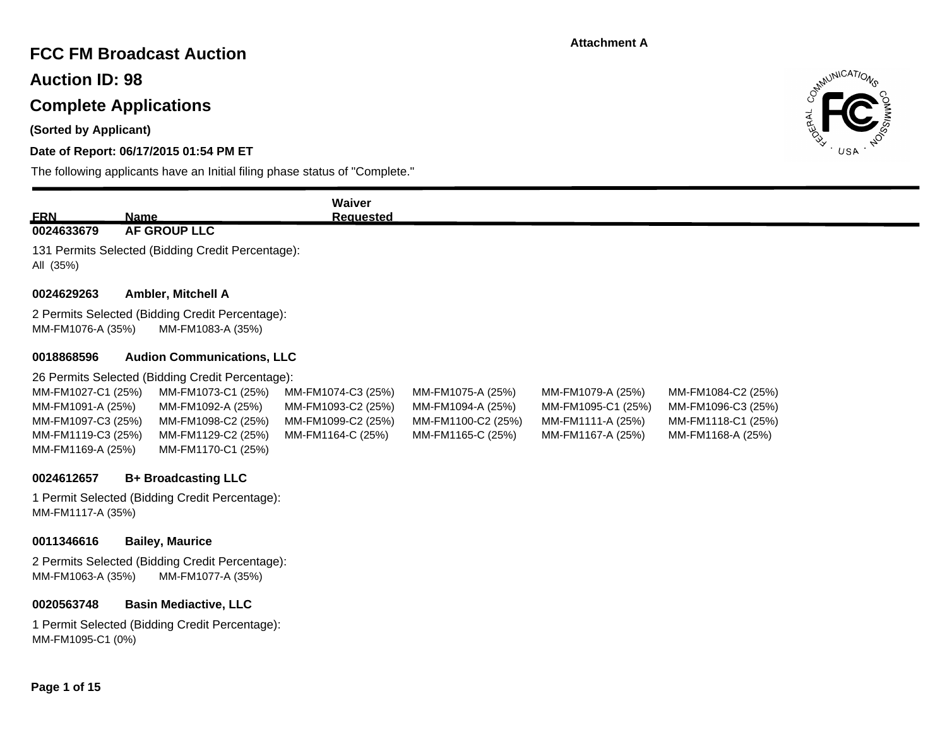## **FCC FM Broadcast Auction**

**Auction ID: 98**

## **Complete Applications**

**(Sorted by Applicant)**

## **Date of Report: 06/17/2015 01:54 PM ET**

The following applicants have an Initial filing phase status of "Complete."



|                    |                                                                      | Waiver             |                    |                    |                    |
|--------------------|----------------------------------------------------------------------|--------------------|--------------------|--------------------|--------------------|
| <b>ERN</b>         | <b>Name</b>                                                          | <b>Requested</b>   |                    |                    |                    |
| 0024633679         | <b>AF GROUP LLC</b>                                                  |                    |                    |                    |                    |
| All (35%)          | 131 Permits Selected (Bidding Credit Percentage):                    |                    |                    |                    |                    |
| 0024629263         | <b>Ambler, Mitchell A</b>                                            |                    |                    |                    |                    |
| MM-FM1076-A (35%)  | 2 Permits Selected (Bidding Credit Percentage):<br>MM-FM1083-A (35%) |                    |                    |                    |                    |
| 0018868596         | <b>Audion Communications, LLC</b>                                    |                    |                    |                    |                    |
|                    | 26 Permits Selected (Bidding Credit Percentage):                     |                    |                    |                    |                    |
| MM-FM1027-C1 (25%) | MM-FM1073-C1 (25%)                                                   | MM-FM1074-C3 (25%) | MM-FM1075-A (25%)  | MM-FM1079-A (25%)  | MM-FM1084-C2 (25%) |
| MM-FM1091-A (25%)  | MM-FM1092-A (25%)                                                    | MM-FM1093-C2 (25%) | MM-FM1094-A (25%)  | MM-FM1095-C1 (25%) | MM-FM1096-C3 (25%) |
| MM-FM1097-C3 (25%) | MM-FM1098-C2 (25%)                                                   | MM-FM1099-C2 (25%) | MM-FM1100-C2 (25%) | MM-FM1111-A (25%)  | MM-FM1118-C1 (25%) |
| MM-FM1119-C3 (25%) | MM-FM1129-C2 (25%)                                                   | MM-FM1164-C (25%)  | MM-FM1165-C (25%)  | MM-FM1167-A (25%)  | MM-FM1168-A (25%)  |
| MM-FM1169-A (25%)  | MM-FM1170-C1 (25%)                                                   |                    |                    |                    |                    |
| 0024612657         | <b>B+ Broadcasting LLC</b>                                           |                    |                    |                    |                    |
| MM-FM1117-A (35%)  | 1 Permit Selected (Bidding Credit Percentage):                       |                    |                    |                    |                    |
| 0011346616         | <b>Bailey, Maurice</b>                                               |                    |                    |                    |                    |
|                    |                                                                      |                    |                    |                    |                    |

2 Permits Selected (Bidding Credit Percentage): MM-FM1063-A (35%) MM-FM1077-A (35%)

#### **0020563748 Basin Mediactive, LLC**

1 Permit Selected (Bidding Credit Percentage): MM-FM1095-C1 (0%)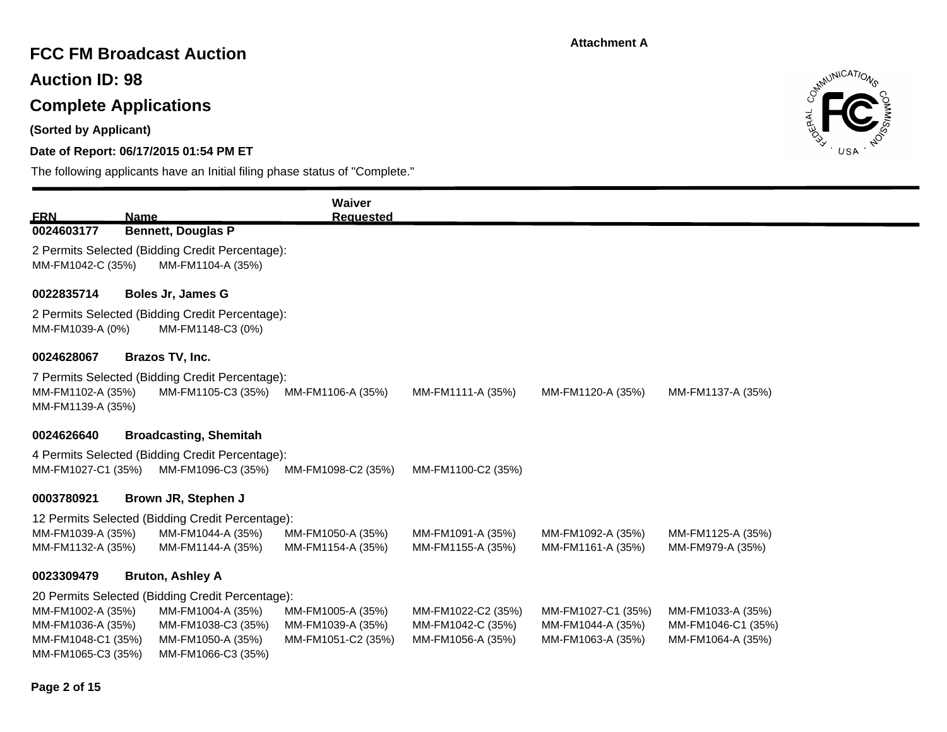## **FCC FM Broadcast Auction**

**Auction ID: 98**

# **Complete Applications**

**(Sorted by Applicant)**

## **Date of Report: 06/17/2015 01:54 PM ET**



| <b>ERN</b>                                                                         | <b>Name</b>               |                                                                                                                                        | Waiver<br><b>Requested</b>                                   |                                                              |                                                              |                                                              |
|------------------------------------------------------------------------------------|---------------------------|----------------------------------------------------------------------------------------------------------------------------------------|--------------------------------------------------------------|--------------------------------------------------------------|--------------------------------------------------------------|--------------------------------------------------------------|
| 0024603177                                                                         | <b>Bennett, Douglas P</b> |                                                                                                                                        |                                                              |                                                              |                                                              |                                                              |
| MM-FM1042-C (35%)                                                                  |                           | 2 Permits Selected (Bidding Credit Percentage):<br>MM-FM1104-A (35%)                                                                   |                                                              |                                                              |                                                              |                                                              |
| 0022835714                                                                         | <b>Boles Jr, James G</b>  |                                                                                                                                        |                                                              |                                                              |                                                              |                                                              |
| MM-FM1039-A (0%)                                                                   |                           | 2 Permits Selected (Bidding Credit Percentage):<br>MM-FM1148-C3 (0%)                                                                   |                                                              |                                                              |                                                              |                                                              |
| 0024628067                                                                         | Brazos TV, Inc.           |                                                                                                                                        |                                                              |                                                              |                                                              |                                                              |
| MM-FM1102-A (35%)<br>MM-FM1139-A (35%)                                             |                           | 7 Permits Selected (Bidding Credit Percentage):<br>MM-FM1105-C3 (35%)                                                                  | MM-FM1106-A (35%)                                            | MM-FM1111-A (35%)                                            | MM-FM1120-A (35%)                                            | MM-FM1137-A (35%)                                            |
| 0024626640                                                                         |                           | <b>Broadcasting, Shemitah</b>                                                                                                          |                                                              |                                                              |                                                              |                                                              |
| MM-FM1027-C1 (35%)                                                                 |                           | 4 Permits Selected (Bidding Credit Percentage):<br>MM-FM1096-C3 (35%)                                                                  | MM-FM1098-C2 (35%)                                           | MM-FM1100-C2 (35%)                                           |                                                              |                                                              |
| 0003780921                                                                         | Brown JR, Stephen J       |                                                                                                                                        |                                                              |                                                              |                                                              |                                                              |
|                                                                                    |                           | 12 Permits Selected (Bidding Credit Percentage):                                                                                       |                                                              |                                                              |                                                              |                                                              |
| MM-FM1039-A (35%)<br>MM-FM1132-A (35%)                                             |                           | MM-FM1044-A (35%)<br>MM-FM1144-A (35%)                                                                                                 | MM-FM1050-A (35%)<br>MM-FM1154-A (35%)                       | MM-FM1091-A (35%)<br>MM-FM1155-A (35%)                       | MM-FM1092-A (35%)<br>MM-FM1161-A (35%)                       | MM-FM1125-A (35%)<br>MM-FM979-A (35%)                        |
| 0023309479                                                                         | <b>Bruton, Ashley A</b>   |                                                                                                                                        |                                                              |                                                              |                                                              |                                                              |
| MM-FM1002-A (35%)<br>MM-FM1036-A (35%)<br>MM-FM1048-C1 (35%)<br>MM-FM1065-C3 (35%) |                           | 20 Permits Selected (Bidding Credit Percentage):<br>MM-FM1004-A (35%)<br>MM-FM1038-C3 (35%)<br>MM-FM1050-A (35%)<br>MM-FM1066-C3 (35%) | MM-FM1005-A (35%)<br>MM-FM1039-A (35%)<br>MM-FM1051-C2 (35%) | MM-FM1022-C2 (35%)<br>MM-FM1042-C (35%)<br>MM-FM1056-A (35%) | MM-FM1027-C1 (35%)<br>MM-FM1044-A (35%)<br>MM-FM1063-A (35%) | MM-FM1033-A (35%)<br>MM-FM1046-C1 (35%)<br>MM-FM1064-A (35%) |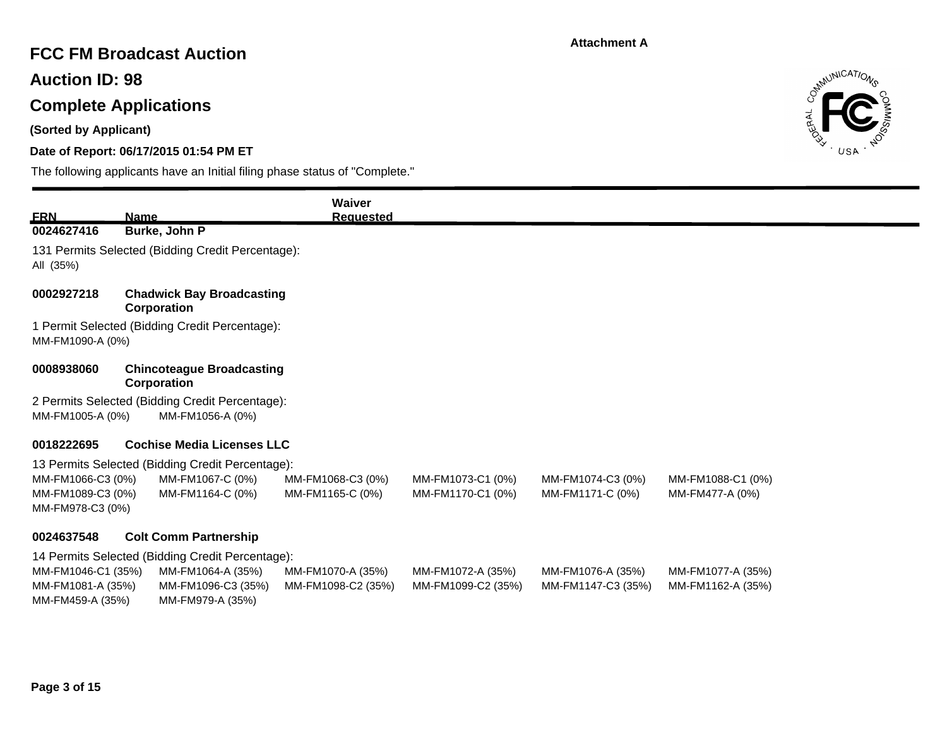# **FCC FM Broadcast Auction**

**Auction ID: 98**

# **Complete Applications**

**(Sorted by Applicant)**

## **Date of Report: 06/17/2015 01:54 PM ET**



| <b>FRN</b>                                                  | <b>Name</b>                                                         | Waiver<br><b>Requested</b>              |                                         |                                         |                                        |  |
|-------------------------------------------------------------|---------------------------------------------------------------------|-----------------------------------------|-----------------------------------------|-----------------------------------------|----------------------------------------|--|
| 0024627416                                                  | Burke, John P                                                       |                                         |                                         |                                         |                                        |  |
| All (35%)                                                   | 131 Permits Selected (Bidding Credit Percentage):                   |                                         |                                         |                                         |                                        |  |
| 0002927218                                                  | <b>Chadwick Bay Broadcasting</b><br>Corporation                     |                                         |                                         |                                         |                                        |  |
| MM-FM1090-A (0%)                                            | 1 Permit Selected (Bidding Credit Percentage):                      |                                         |                                         |                                         |                                        |  |
| 0008938060                                                  | <b>Chincoteague Broadcasting</b><br>Corporation                     |                                         |                                         |                                         |                                        |  |
| MM-FM1005-A (0%)                                            | 2 Permits Selected (Bidding Credit Percentage):<br>MM-FM1056-A (0%) |                                         |                                         |                                         |                                        |  |
| 0018222695                                                  | <b>Cochise Media Licenses LLC</b>                                   |                                         |                                         |                                         |                                        |  |
|                                                             | 13 Permits Selected (Bidding Credit Percentage):                    |                                         |                                         |                                         |                                        |  |
| MM-FM1066-C3 (0%)<br>MM-FM1089-C3 (0%)<br>MM-FM978-C3 (0%)  | MM-FM1067-C (0%)<br>MM-FM1164-C (0%)                                | MM-FM1068-C3 (0%)<br>MM-FM1165-C (0%)   | MM-FM1073-C1 (0%)<br>MM-FM1170-C1 (0%)  | MM-FM1074-C3 (0%)<br>MM-FM1171-C (0%)   | MM-FM1088-C1 (0%)<br>MM-FM477-A (0%)   |  |
| 0024637548                                                  | <b>Colt Comm Partnership</b>                                        |                                         |                                         |                                         |                                        |  |
|                                                             | 14 Permits Selected (Bidding Credit Percentage):                    |                                         |                                         |                                         |                                        |  |
| MM-FM1046-C1 (35%)<br>MM-FM1081-A (35%)<br>MM-FM459-A (35%) | MM-FM1064-A (35%)<br>MM-FM1096-C3 (35%)<br>MM-FM979-A (35%)         | MM-FM1070-A (35%)<br>MM-FM1098-C2 (35%) | MM-FM1072-A (35%)<br>MM-FM1099-C2 (35%) | MM-FM1076-A (35%)<br>MM-FM1147-C3 (35%) | MM-FM1077-A (35%)<br>MM-FM1162-A (35%) |  |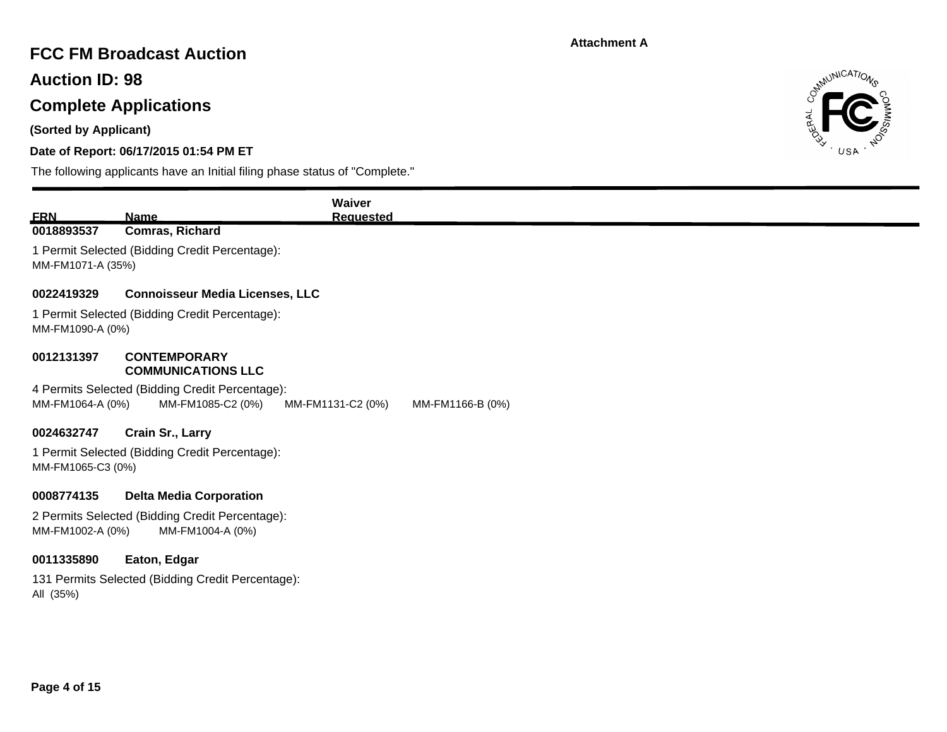## **FCC FM Broadcast Auction**

**Auction ID: 98**

# **Complete Applications**

**(Sorted by Applicant)**

## **Date of Report: 06/17/2015 01:54 PM ET**



|                   |                                                   | Waiver            |                  |
|-------------------|---------------------------------------------------|-------------------|------------------|
| <b>ERN</b>        | <b>Name</b>                                       | <b>Requested</b>  |                  |
| 0018893537        | Comras, Richard                                   |                   |                  |
| MM-FM1071-A (35%) | 1 Permit Selected (Bidding Credit Percentage):    |                   |                  |
| 0022419329        | <b>Connoisseur Media Licenses, LLC</b>            |                   |                  |
| MM-FM1090-A (0%)  | 1 Permit Selected (Bidding Credit Percentage):    |                   |                  |
| 0012131397        | <b>CONTEMPORARY</b><br><b>COMMUNICATIONS LLC</b>  |                   |                  |
|                   | 4 Permits Selected (Bidding Credit Percentage):   |                   |                  |
| MM-FM1064-A (0%)  | MM-FM1085-C2 (0%)                                 | MM-FM1131-C2 (0%) | MM-FM1166-B (0%) |
| 0024632747        | Crain Sr., Larry                                  |                   |                  |
|                   | 1 Permit Selected (Bidding Credit Percentage):    |                   |                  |
| MM-FM1065-C3 (0%) |                                                   |                   |                  |
| 0008774135        | <b>Delta Media Corporation</b>                    |                   |                  |
|                   | 2 Permits Selected (Bidding Credit Percentage):   |                   |                  |
| MM-FM1002-A (0%)  | MM-FM1004-A (0%)                                  |                   |                  |
| 0011335890        | Eaton, Edgar                                      |                   |                  |
| All (35%)         | 131 Permits Selected (Bidding Credit Percentage): |                   |                  |
|                   |                                                   |                   |                  |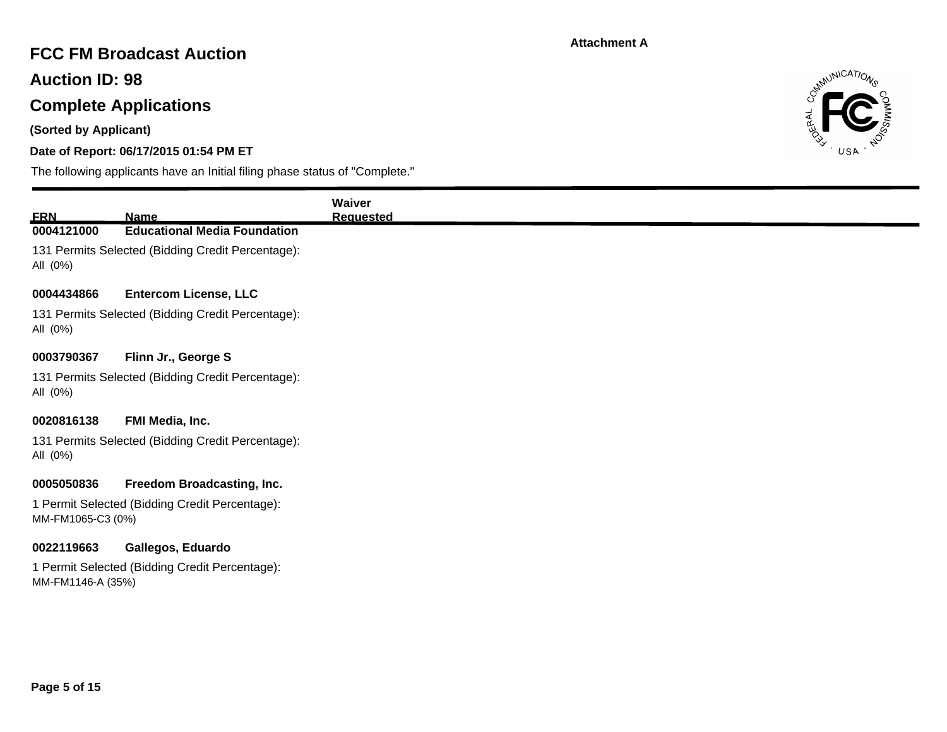# **FCC FM Broadcast Auction**

**Auction ID: 98**

# **Complete Applications**

**(Sorted by Applicant)**

## **Date of Report: 06/17/2015 01:54 PM ET**



| <b>ERN</b>        | <b>Name</b>                                       | Waiver<br><b>Requested</b> |
|-------------------|---------------------------------------------------|----------------------------|
| 0004121000        | <b>Educational Media Foundation</b>               |                            |
| All (0%)          | 131 Permits Selected (Bidding Credit Percentage): |                            |
| 0004434866        | <b>Entercom License, LLC</b>                      |                            |
| All (0%)          | 131 Permits Selected (Bidding Credit Percentage): |                            |
| 0003790367        | Flinn Jr., George S                               |                            |
| All (0%)          | 131 Permits Selected (Bidding Credit Percentage): |                            |
| 0020816138        | FMI Media, Inc.                                   |                            |
| All (0%)          | 131 Permits Selected (Bidding Credit Percentage): |                            |
| 0005050836        | Freedom Broadcasting, Inc.                        |                            |
| MM-FM1065-C3 (0%) | 1 Permit Selected (Bidding Credit Percentage):    |                            |
| 0022119663        | Gallegos, Eduardo                                 |                            |
| MM-FM1146-A (35%) | 1 Permit Selected (Bidding Credit Percentage):    |                            |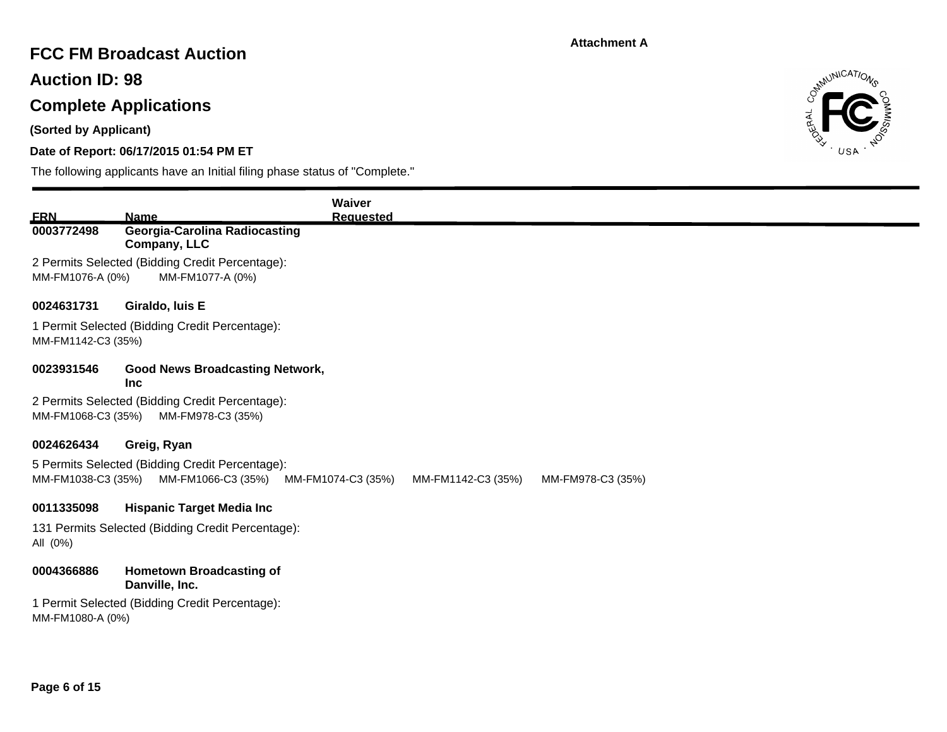## **FCC FM Broadcast Auction**

**Auction ID: 98**

# **Complete Applications**

**(Sorted by Applicant)**

## **Date of Report: 06/17/2015 01:54 PM ET**



|                          |                                                                                          | Waiver                                   |                   |
|--------------------------|------------------------------------------------------------------------------------------|------------------------------------------|-------------------|
| <b>ERN</b><br>0003772498 | <b>Name</b><br><b>Georgia-Carolina Radiocasting</b><br>Company, LLC                      | <b>Requested</b>                         |                   |
| MM-FM1076-A (0%)         | 2 Permits Selected (Bidding Credit Percentage):<br>MM-FM1077-A (0%)                      |                                          |                   |
| 0024631731               | Giraldo, luis E                                                                          |                                          |                   |
| MM-FM1142-C3 (35%)       | 1 Permit Selected (Bidding Credit Percentage):                                           |                                          |                   |
| 0023931546               | <b>Good News Broadcasting Network,</b><br><b>Inc</b>                                     |                                          |                   |
| MM-FM1068-C3 (35%)       | 2 Permits Selected (Bidding Credit Percentage):<br>MM-FM978-C3 (35%)                     |                                          |                   |
| 0024626434               | Greig, Ryan                                                                              |                                          |                   |
|                          | 5 Permits Selected (Bidding Credit Percentage):<br>MM-FM1038-C3 (35%) MM-FM1066-C3 (35%) | MM-FM1074-C3 (35%)<br>MM-FM1142-C3 (35%) | MM-FM978-C3 (35%) |
| 0011335098               | <b>Hispanic Target Media Inc.</b>                                                        |                                          |                   |
| All (0%)                 | 131 Permits Selected (Bidding Credit Percentage):                                        |                                          |                   |
| 0004366886               | <b>Hometown Broadcasting of</b><br>Danville, Inc.                                        |                                          |                   |
| MM-FM1080-A (0%)         | 1 Permit Selected (Bidding Credit Percentage):                                           |                                          |                   |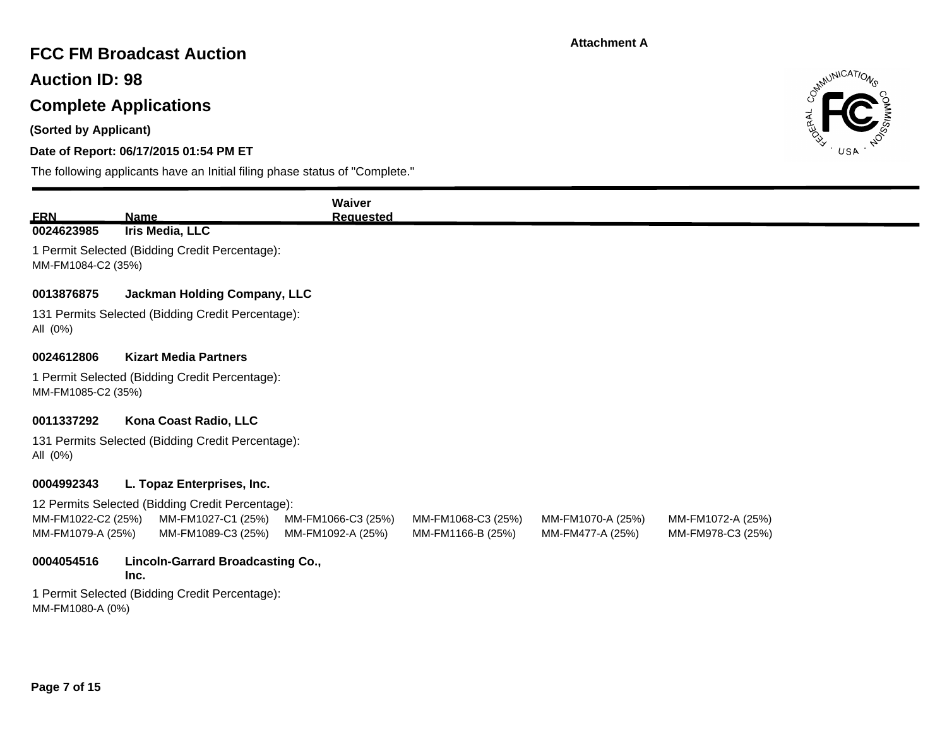## **FCC FM Broadcast Auction**

**Auction ID: 98**

# **Complete Applications**

**(Sorted by Applicant)**

## **Date of Report: 06/17/2015 01:54 PM ET**



| <b>ERN</b>                              | <b>Name</b>                                                                                  | Waiver<br><b>Requested</b>              |                                         |                                       |                                        |  |
|-----------------------------------------|----------------------------------------------------------------------------------------------|-----------------------------------------|-----------------------------------------|---------------------------------------|----------------------------------------|--|
| 0024623985                              | Iris Media, LLC                                                                              |                                         |                                         |                                       |                                        |  |
| MM-FM1084-C2 (35%)                      | 1 Permit Selected (Bidding Credit Percentage):                                               |                                         |                                         |                                       |                                        |  |
| 0013876875                              | <b>Jackman Holding Company, LLC</b>                                                          |                                         |                                         |                                       |                                        |  |
| All (0%)                                | 131 Permits Selected (Bidding Credit Percentage):                                            |                                         |                                         |                                       |                                        |  |
| 0024612806                              | <b>Kizart Media Partners</b>                                                                 |                                         |                                         |                                       |                                        |  |
| MM-FM1085-C2 (35%)                      | 1 Permit Selected (Bidding Credit Percentage):                                               |                                         |                                         |                                       |                                        |  |
| 0011337292                              | Kona Coast Radio, LLC                                                                        |                                         |                                         |                                       |                                        |  |
| All (0%)                                | 131 Permits Selected (Bidding Credit Percentage):                                            |                                         |                                         |                                       |                                        |  |
| 0004992343                              | L. Topaz Enterprises, Inc.                                                                   |                                         |                                         |                                       |                                        |  |
| MM-FM1022-C2 (25%)<br>MM-FM1079-A (25%) | 12 Permits Selected (Bidding Credit Percentage):<br>MM-FM1027-C1 (25%)<br>MM-FM1089-C3 (25%) | MM-FM1066-C3 (25%)<br>MM-FM1092-A (25%) | MM-FM1068-C3 (25%)<br>MM-FM1166-B (25%) | MM-FM1070-A (25%)<br>MM-FM477-A (25%) | MM-FM1072-A (25%)<br>MM-FM978-C3 (25%) |  |
| 0004054516                              | <b>Lincoln-Garrard Broadcasting Co.,</b><br>Inc.                                             |                                         |                                         |                                       |                                        |  |
| MM-FM1080-A (0%)                        | 1 Permit Selected (Bidding Credit Percentage):                                               |                                         |                                         |                                       |                                        |  |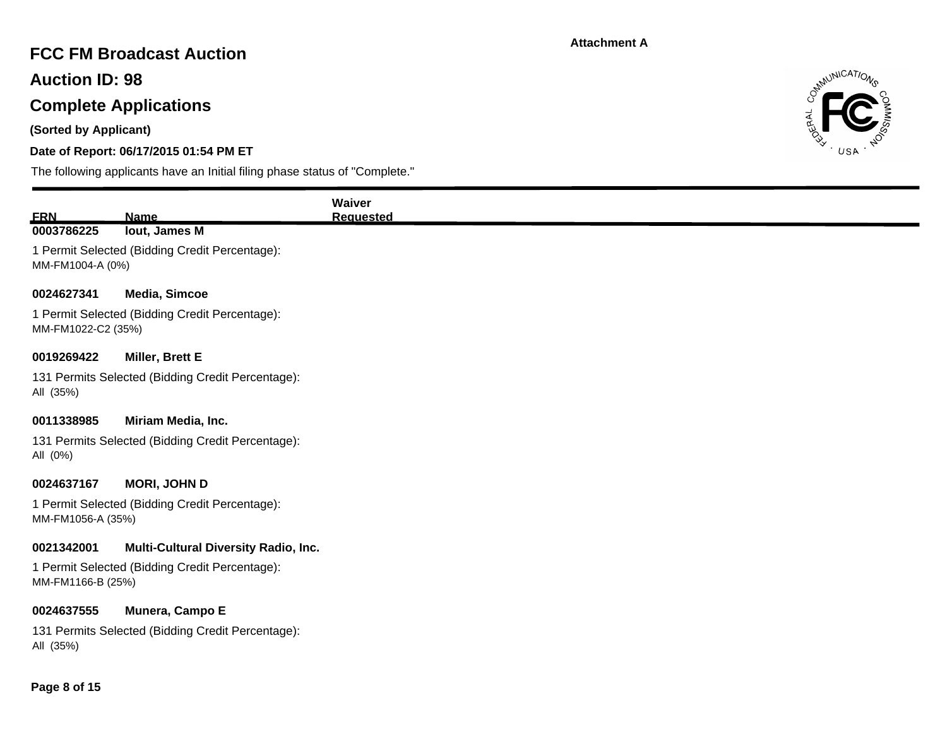# **FCC FM Broadcast Auction**

**Auction ID: 98**

# **Complete Applications**

**(Sorted by Applicant)**

## **Date of Report: 06/17/2015 01:54 PM ET**



| <b>ERN</b>         | <b>Name</b>                                                          | Waiver<br><b>Requested</b> |
|--------------------|----------------------------------------------------------------------|----------------------------|
| 0003786225         | lout, James M<br>1 Permit Selected (Bidding Credit Percentage):      |                            |
| MM-FM1004-A (0%)   |                                                                      |                            |
| 0024627341         | <b>Media, Simcoe</b>                                                 |                            |
| MM-FM1022-C2 (35%) | 1 Permit Selected (Bidding Credit Percentage):                       |                            |
| 0019269422         | Miller, Brett E                                                      |                            |
| All (35%)          | 131 Permits Selected (Bidding Credit Percentage):                    |                            |
| 0011338985         | Miriam Media, Inc.                                                   |                            |
| All (0%)           | 131 Permits Selected (Bidding Credit Percentage):                    |                            |
| 0024637167         | <b>MORI, JOHN D</b>                                                  |                            |
| MM-FM1056-A (35%)  | 1 Permit Selected (Bidding Credit Percentage):                       |                            |
| 0021342001         | <b>Multi-Cultural Diversity Radio, Inc.</b>                          |                            |
| MM-FM1166-B (25%)  | 1 Permit Selected (Bidding Credit Percentage):                       |                            |
| 0024637555         | Munera, Campo E<br>131 Permits Selected (Bidding Credit Percentage): |                            |
| All (35%)          |                                                                      |                            |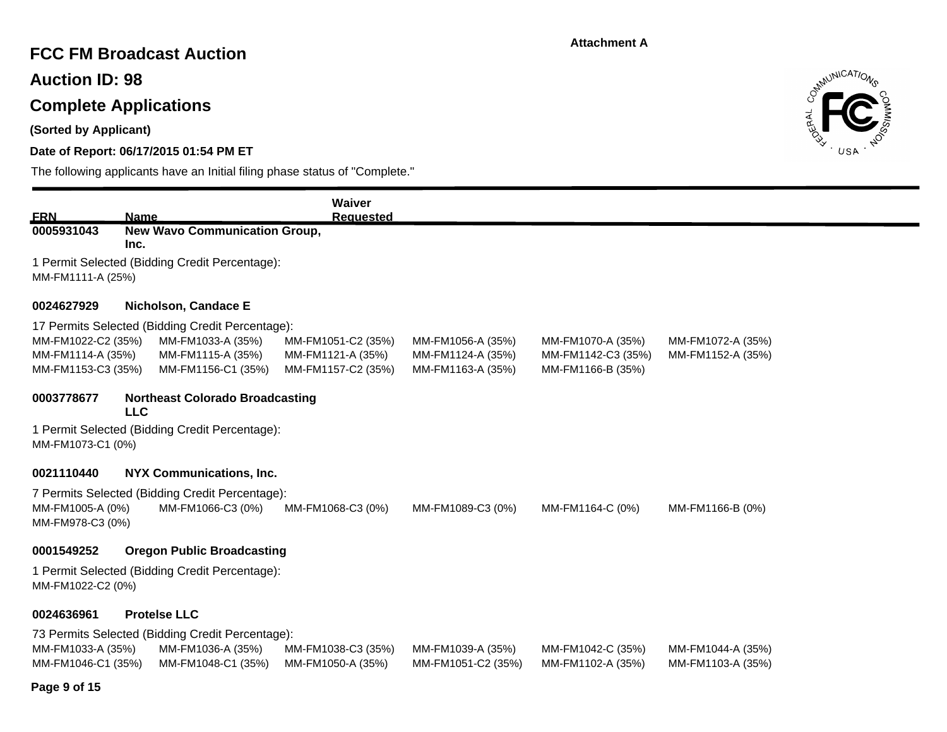## **FCC FM Broadcast Auction**

**Auction ID: 98**

## **Complete Applications**

**(Sorted by Applicant)**

## **Date of Report: 06/17/2015 01:54 PM ET**



| <b>FRN</b>                                                    | <b>Name</b> |                                                                                                                  | Waiver<br><b>Requested</b>                                    |                                                             |                                                              |                                        |
|---------------------------------------------------------------|-------------|------------------------------------------------------------------------------------------------------------------|---------------------------------------------------------------|-------------------------------------------------------------|--------------------------------------------------------------|----------------------------------------|
| 0005931043                                                    | Inc.        | <b>New Wavo Communication Group,</b>                                                                             |                                                               |                                                             |                                                              |                                        |
| MM-FM1111-A (25%)                                             |             | 1 Permit Selected (Bidding Credit Percentage):                                                                   |                                                               |                                                             |                                                              |                                        |
| 0024627929                                                    |             | Nicholson, Candace E                                                                                             |                                                               |                                                             |                                                              |                                        |
| MM-FM1022-C2 (35%)<br>MM-FM1114-A (35%)<br>MM-FM1153-C3 (35%) |             | 17 Permits Selected (Bidding Credit Percentage):<br>MM-FM1033-A (35%)<br>MM-FM1115-A (35%)<br>MM-FM1156-C1 (35%) | MM-FM1051-C2 (35%)<br>MM-FM1121-A (35%)<br>MM-FM1157-C2 (35%) | MM-FM1056-A (35%)<br>MM-FM1124-A (35%)<br>MM-FM1163-A (35%) | MM-FM1070-A (35%)<br>MM-FM1142-C3 (35%)<br>MM-FM1166-B (35%) | MM-FM1072-A (35%)<br>MM-FM1152-A (35%) |
| 0003778677                                                    | <b>LLC</b>  | <b>Northeast Colorado Broadcasting</b>                                                                           |                                                               |                                                             |                                                              |                                        |
| MM-FM1073-C1 (0%)                                             |             | 1 Permit Selected (Bidding Credit Percentage):                                                                   |                                                               |                                                             |                                                              |                                        |
| 0021110440                                                    |             | <b>NYX Communications, Inc.</b>                                                                                  |                                                               |                                                             |                                                              |                                        |
| MM-FM1005-A (0%)<br>MM-FM978-C3 (0%)                          |             | 7 Permits Selected (Bidding Credit Percentage):<br>MM-FM1066-C3 (0%)                                             | MM-FM1068-C3 (0%)                                             | MM-FM1089-C3 (0%)                                           | MM-FM1164-C (0%)                                             | MM-FM1166-B (0%)                       |
| 0001549252                                                    |             | <b>Oregon Public Broadcasting</b>                                                                                |                                                               |                                                             |                                                              |                                        |
| MM-FM1022-C2 (0%)                                             |             | 1 Permit Selected (Bidding Credit Percentage):                                                                   |                                                               |                                                             |                                                              |                                        |
| 0024636961                                                    |             | <b>Protelse LLC</b>                                                                                              |                                                               |                                                             |                                                              |                                        |
|                                                               |             | 73 Permits Selected (Bidding Credit Percentage):                                                                 |                                                               |                                                             |                                                              |                                        |
| MM-FM1033-A (35%)<br>MM-FM1046-C1 (35%)                       |             | MM-FM1036-A (35%)<br>MM-FM1048-C1 (35%)                                                                          | MM-FM1038-C3 (35%)<br>MM-FM1050-A (35%)                       | MM-FM1039-A (35%)<br>MM-FM1051-C2 (35%)                     | MM-FM1042-C (35%)<br>MM-FM1102-A (35%)                       | MM-FM1044-A (35%)<br>MM-FM1103-A (35%) |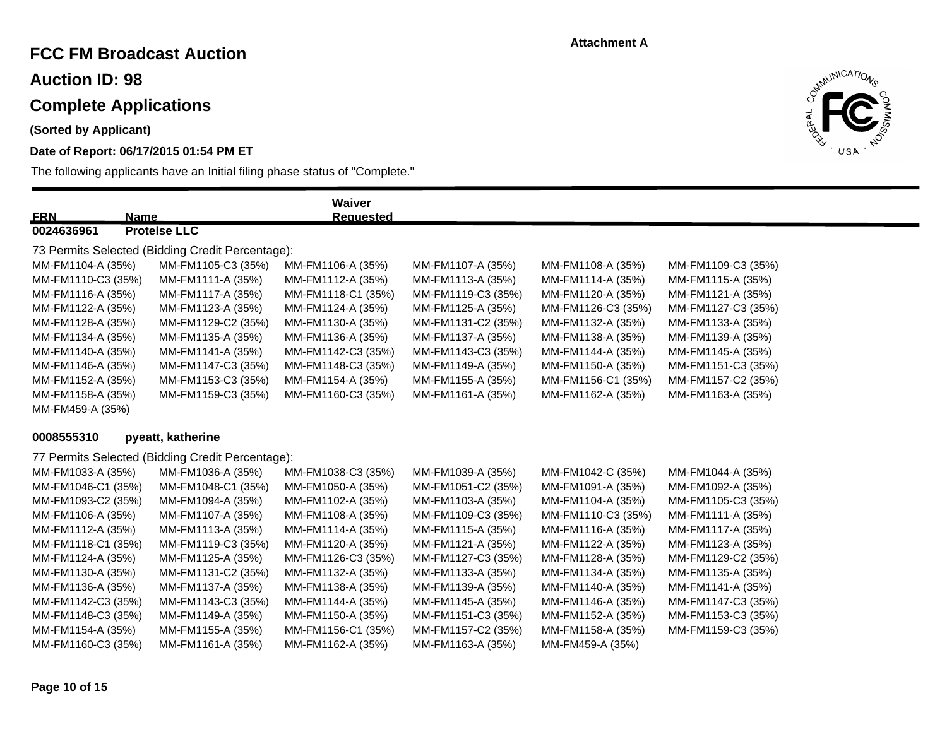## **FCC FM Broadcast Auction**

**Auction ID: 98**

## **Complete Applications**

**(Sorted by Applicant)**

## **Date of Report: 06/17/2015 01:54 PM ET**

The following applicants have an Initial filing phase status of "Complete."



| <u>ERN</u><br><b>Name</b> |                                                  | Waiver<br><b>Requested</b> |                    |                    |                    |
|---------------------------|--------------------------------------------------|----------------------------|--------------------|--------------------|--------------------|
| 0024636961                | <b>Protelse LLC</b>                              |                            |                    |                    |                    |
|                           | 73 Permits Selected (Bidding Credit Percentage): |                            |                    |                    |                    |
| MM-FM1104-A (35%)         | MM-FM1105-C3 (35%)                               | MM-FM1106-A (35%)          | MM-FM1107-A (35%)  | MM-FM1108-A (35%)  | MM-FM1109-C3 (35%) |
| MM-FM1110-C3 (35%)        | MM-FM1111-A (35%)                                | MM-FM1112-A (35%)          | MM-FM1113-A (35%)  | MM-FM1114-A (35%)  | MM-FM1115-A (35%)  |
| MM-FM1116-A (35%)         | MM-FM1117-A (35%)                                | MM-FM1118-C1 (35%)         | MM-FM1119-C3 (35%) | MM-FM1120-A (35%)  | MM-FM1121-A (35%)  |
| MM-FM1122-A (35%)         | MM-FM1123-A (35%)                                | MM-FM1124-A (35%)          | MM-FM1125-A (35%)  | MM-FM1126-C3 (35%) | MM-FM1127-C3 (35%) |
| MM-FM1128-A (35%)         | MM-FM1129-C2 (35%)                               | MM-FM1130-A (35%)          | MM-FM1131-C2 (35%) | MM-FM1132-A (35%)  | MM-FM1133-A (35%)  |
| MM-FM1134-A (35%)         | MM-FM1135-A (35%)                                | MM-FM1136-A (35%)          | MM-FM1137-A (35%)  | MM-FM1138-A (35%)  | MM-FM1139-A (35%)  |
| MM-FM1140-A (35%)         | MM-FM1141-A (35%)                                | MM-FM1142-C3 (35%)         | MM-FM1143-C3 (35%) | MM-FM1144-A (35%)  | MM-FM1145-A (35%)  |
| MM-FM1146-A (35%)         | MM-FM1147-C3 (35%)                               | MM-FM1148-C3 (35%)         | MM-FM1149-A (35%)  | MM-FM1150-A (35%)  | MM-FM1151-C3 (35%) |
| MM-FM1152-A (35%)         | MM-FM1153-C3 (35%)                               | MM-FM1154-A (35%)          | MM-FM1155-A (35%)  | MM-FM1156-C1 (35%) | MM-FM1157-C2 (35%) |
| MM-FM1158-A (35%)         | MM-FM1159-C3 (35%)                               | MM-FM1160-C3 (35%)         | MM-FM1161-A (35%)  | MM-FM1162-A (35%)  | MM-FM1163-A (35%)  |
| MM-FM459-A (35%)          |                                                  |                            |                    |                    |                    |
| 0008555310                | pyeatt, katherine                                |                            |                    |                    |                    |
|                           |                                                  |                            |                    |                    |                    |
|                           | 77 Permits Selected (Bidding Credit Percentage): |                            |                    |                    |                    |
| MM-FM1033-A (35%)         | MM-FM1036-A (35%)                                | MM-FM1038-C3 (35%)         | MM-FM1039-A (35%)  | MM-FM1042-C (35%)  | MM-FM1044-A (35%)  |
| MM-FM1046-C1 (35%)        | MM-FM1048-C1 (35%)                               | MM-FM1050-A (35%)          | MM-FM1051-C2 (35%) | MM-FM1091-A (35%)  | MM-FM1092-A (35%)  |
| MM-FM1093-C2 (35%)        | MM-FM1094-A (35%)                                | MM-FM1102-A (35%)          | MM-FM1103-A (35%)  | MM-FM1104-A (35%)  | MM-FM1105-C3 (35%) |
| MM-FM1106-A (35%)         | MM-FM1107-A (35%)                                | MM-FM1108-A (35%)          | MM-FM1109-C3 (35%) | MM-FM1110-C3 (35%) | MM-FM1111-A (35%)  |
| MM-FM1112-A (35%)         | MM-FM1113-A (35%)                                | MM-FM1114-A (35%)          | MM-FM1115-A (35%)  | MM-FM1116-A (35%)  | MM-FM1117-A (35%)  |
| MM-FM1118-C1 (35%)        | MM-FM1119-C3 (35%)                               | MM-FM1120-A (35%)          | MM-FM1121-A (35%)  | MM-FM1122-A (35%)  | MM-FM1123-A (35%)  |
| MM-FM1124-A (35%)         | MM-FM1125-A (35%)                                | MM-FM1126-C3 (35%)         | MM-FM1127-C3 (35%) | MM-FM1128-A (35%)  | MM-FM1129-C2 (35%) |
| MM-FM1130-A (35%)         | MM-FM1131-C2 (35%)                               | MM-FM1132-A (35%)          | MM-FM1133-A (35%)  | MM-FM1134-A (35%)  | MM-FM1135-A (35%)  |
| MM-FM1136-A (35%)         | MM-FM1137-A (35%)                                | MM-FM1138-A (35%)          | MM-FM1139-A (35%)  | MM-FM1140-A (35%)  | MM-FM1141-A (35%)  |
| MM-FM1142-C3 (35%)        | MM-FM1143-C3 (35%)                               | MM-FM1144-A (35%)          | MM-FM1145-A (35%)  | MM-FM1146-A (35%)  | MM-FM1147-C3 (35%) |
| MM-FM1148-C3 (35%)        | MM-FM1149-A (35%)                                | MM-FM1150-A (35%)          | MM-FM1151-C3 (35%) | MM-FM1152-A (35%)  | MM-FM1153-C3 (35%) |
| MM-FM1154-A (35%)         | MM-FM1155-A (35%)                                | MM-FM1156-C1 (35%)         | MM-FM1157-C2 (35%) | MM-FM1158-A (35%)  | MM-FM1159-C3 (35%) |

MM-FM1160-C3 (35%) MM-FM1161-A (35%) MM-FM1162-A (35%) MM-FM1163-A (35%) MM-FM459-A (35%)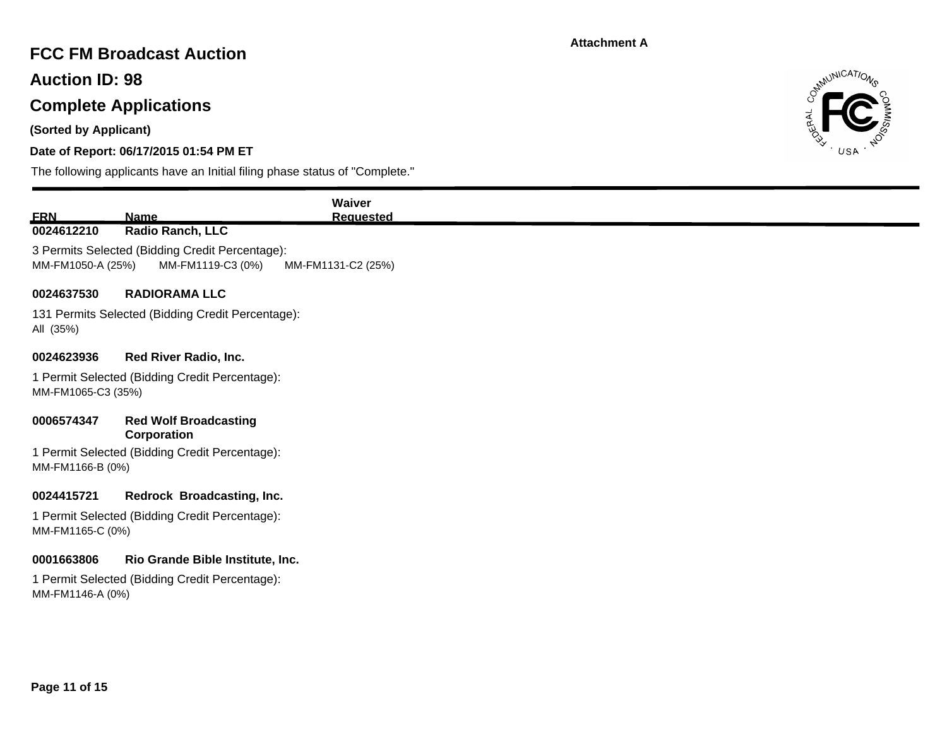# **FCC FM Broadcast Auction**

**Auction ID: 98**

# **Complete Applications**

**(Sorted by Applicant)**

## **Date of Report: 06/17/2015 01:54 PM ET**



|                                                                      | Waiver                                    |
|----------------------------------------------------------------------|-------------------------------------------|
| Radio Ranch, LLC                                                     | <b>Requested</b>                          |
| 3 Permits Selected (Bidding Credit Percentage):                      |                                           |
| MM-FM1119-C3 (0%)<br>MM-FM1050-A (25%)                               | MM-FM1131-C2 (25%)                        |
| <b>RADIORAMA LLC</b>                                                 |                                           |
| 131 Permits Selected (Bidding Credit Percentage):                    |                                           |
| Red River Radio, Inc.                                                |                                           |
| 1 Permit Selected (Bidding Credit Percentage):<br>MM-FM1065-C3 (35%) |                                           |
| <b>Red Wolf Broadcasting</b><br>Corporation                          |                                           |
| 1 Permit Selected (Bidding Credit Percentage):<br>MM-FM1166-B (0%)   |                                           |
|                                                                      |                                           |
| 1 Permit Selected (Bidding Credit Percentage):<br>MM-FM1165-C (0%)   |                                           |
|                                                                      |                                           |
| Rio Grande Bible Institute, Inc.                                     |                                           |
|                                                                      | <b>Name</b><br>Redrock Broadcasting, Inc. |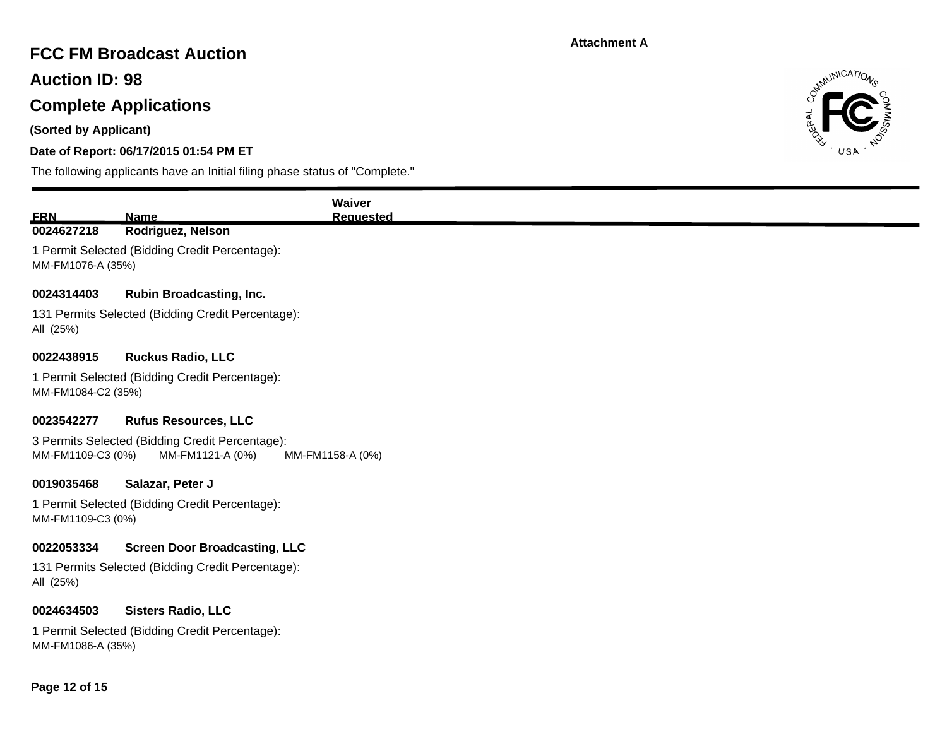# **FCC FM Broadcast Auction**

**Auction ID: 98**

# **Complete Applications**

**(Sorted by Applicant)**

## **Date of Report: 06/17/2015 01:54 PM ET**



|                    |                                                                     | Waiver           |
|--------------------|---------------------------------------------------------------------|------------------|
| <b>ERN</b>         | <b>Name</b>                                                         | <b>Requested</b> |
| 0024627218         | Rodriguez, Nelson                                                   |                  |
| MM-FM1076-A (35%)  | 1 Permit Selected (Bidding Credit Percentage):                      |                  |
| 0024314403         | <b>Rubin Broadcasting, Inc.</b>                                     |                  |
| All (25%)          | 131 Permits Selected (Bidding Credit Percentage):                   |                  |
| 0022438915         | <b>Ruckus Radio, LLC</b>                                            |                  |
| MM-FM1084-C2 (35%) | 1 Permit Selected (Bidding Credit Percentage):                      |                  |
| 0023542277         | <b>Rufus Resources, LLC</b>                                         |                  |
| MM-FM1109-C3 (0%)  | 3 Permits Selected (Bidding Credit Percentage):<br>MM-FM1121-A (0%) | MM-FM1158-A (0%) |
| 0019035468         | Salazar, Peter J                                                    |                  |
| MM-FM1109-C3 (0%)  | 1 Permit Selected (Bidding Credit Percentage):                      |                  |
| 0022053334         | <b>Screen Door Broadcasting, LLC</b>                                |                  |
| All (25%)          | 131 Permits Selected (Bidding Credit Percentage):                   |                  |
| 0024634503         | <b>Sisters Radio, LLC</b>                                           |                  |
| MM-FM1086-A (35%)  | 1 Permit Selected (Bidding Credit Percentage):                      |                  |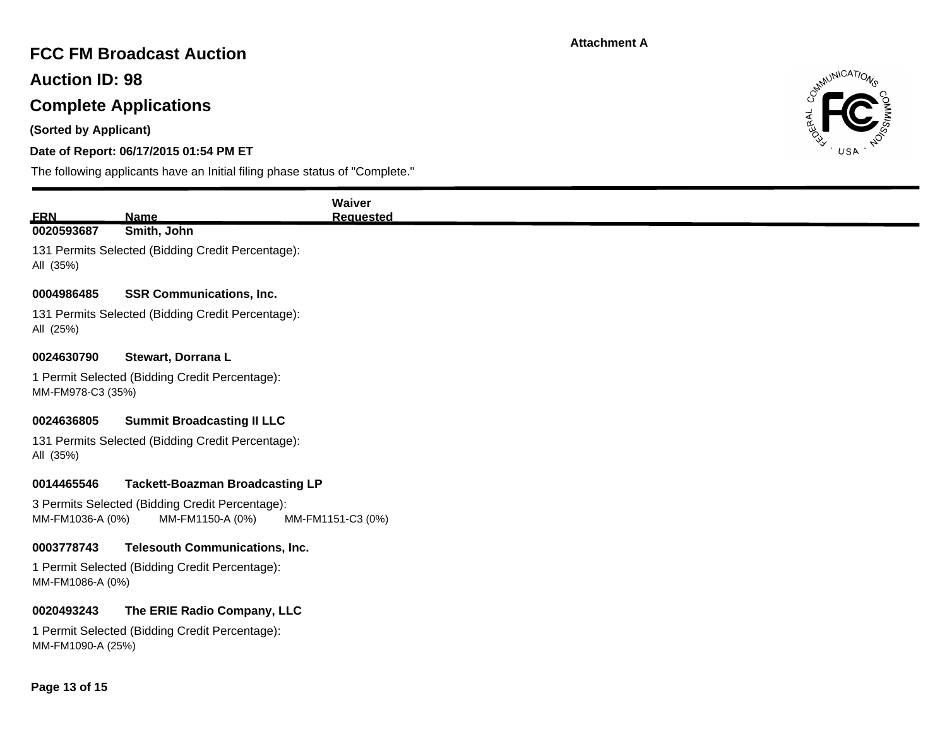# **FCC FM Broadcast Auction**

**Auction ID: 98**

# **Complete Applications**

**(Sorted by Applicant)**

## **Date of Report: 06/17/2015 01:54 PM ET**



| <b>ERN</b>                                                                                                   | <b>Name</b>                                       | Waiver<br><b>Requested</b> |  |
|--------------------------------------------------------------------------------------------------------------|---------------------------------------------------|----------------------------|--|
| 0020593687                                                                                                   | Smith, John                                       |                            |  |
| All (35%)                                                                                                    | 131 Permits Selected (Bidding Credit Percentage): |                            |  |
| 0004986485                                                                                                   | <b>SSR Communications, Inc.</b>                   |                            |  |
| All (25%)                                                                                                    | 131 Permits Selected (Bidding Credit Percentage): |                            |  |
| 0024630790                                                                                                   | Stewart, Dorrana L                                |                            |  |
| 1 Permit Selected (Bidding Credit Percentage):<br>MM-FM978-C3 (35%)                                          |                                                   |                            |  |
| 0024636805                                                                                                   | <b>Summit Broadcasting II LLC</b>                 |                            |  |
| All (35%)                                                                                                    | 131 Permits Selected (Bidding Credit Percentage): |                            |  |
| 0014465546                                                                                                   | <b>Tackett-Boazman Broadcasting LP</b>            |                            |  |
| 3 Permits Selected (Bidding Credit Percentage):<br>MM-FM1036-A (0%)<br>MM-FM1150-A (0%)<br>MM-FM1151-C3 (0%) |                                                   |                            |  |
| 0003778743                                                                                                   | <b>Telesouth Communications, Inc.</b>             |                            |  |
| MM-FM1086-A (0%)                                                                                             | 1 Permit Selected (Bidding Credit Percentage):    |                            |  |
| 0020493243                                                                                                   | The ERIE Radio Company, LLC                       |                            |  |
| MM-FM1090-A (25%)                                                                                            | 1 Permit Selected (Bidding Credit Percentage):    |                            |  |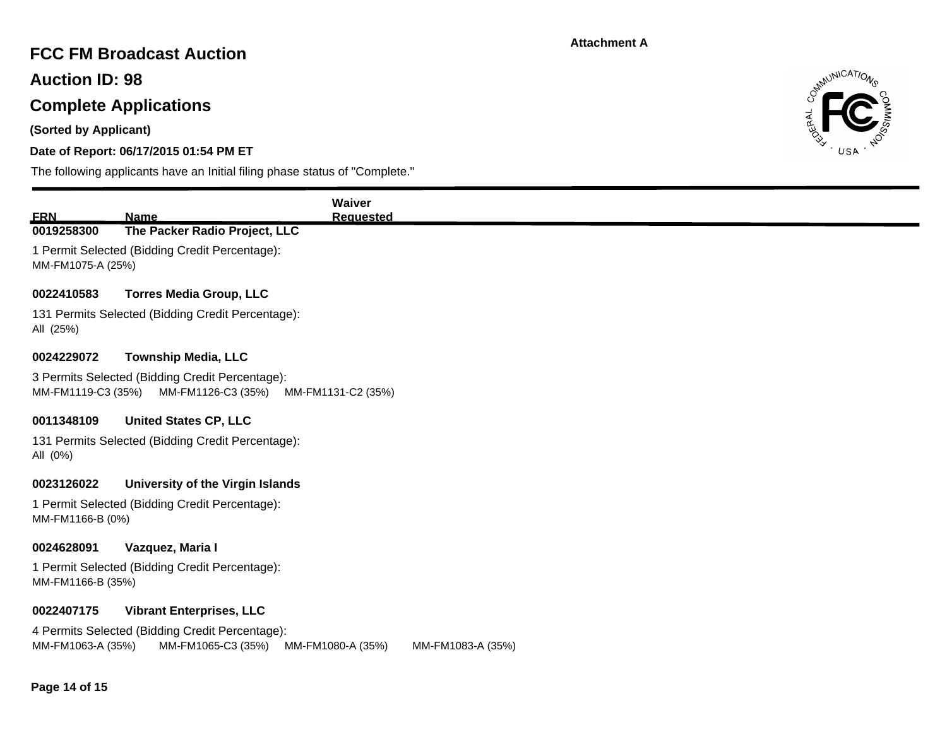# **FCC FM Broadcast Auction**

**Auction ID: 98**

# **Complete Applications**

**(Sorted by Applicant)**

## **Date of Report: 06/17/2015 01:54 PM ET**



|                                                                                                                                      |                                                                       | Waiver             |  |  |  |  |
|--------------------------------------------------------------------------------------------------------------------------------------|-----------------------------------------------------------------------|--------------------|--|--|--|--|
| <b>ERN</b>                                                                                                                           | Name                                                                  | <b>Requested</b>   |  |  |  |  |
| 0019258300                                                                                                                           | The Packer Radio Project, LLC                                         |                    |  |  |  |  |
| MM-FM1075-A (25%)                                                                                                                    | 1 Permit Selected (Bidding Credit Percentage):                        |                    |  |  |  |  |
| 0022410583                                                                                                                           | <b>Torres Media Group, LLC</b>                                        |                    |  |  |  |  |
| All (25%)                                                                                                                            | 131 Permits Selected (Bidding Credit Percentage):                     |                    |  |  |  |  |
| 0024229072                                                                                                                           | <b>Township Media, LLC</b>                                            |                    |  |  |  |  |
| MM-FM1119-C3 (35%)                                                                                                                   | 3 Permits Selected (Bidding Credit Percentage):<br>MM-FM1126-C3 (35%) | MM-FM1131-C2 (35%) |  |  |  |  |
| 0011348109                                                                                                                           | <b>United States CP, LLC</b>                                          |                    |  |  |  |  |
| All (0%)                                                                                                                             | 131 Permits Selected (Bidding Credit Percentage):                     |                    |  |  |  |  |
| 0023126022                                                                                                                           | University of the Virgin Islands                                      |                    |  |  |  |  |
| MM-FM1166-B (0%)                                                                                                                     | 1 Permit Selected (Bidding Credit Percentage):                        |                    |  |  |  |  |
| 0024628091                                                                                                                           | Vazquez, Maria I                                                      |                    |  |  |  |  |
| 1 Permit Selected (Bidding Credit Percentage):<br>MM-FM1166-B (35%)                                                                  |                                                                       |                    |  |  |  |  |
| 0022407175                                                                                                                           | <b>Vibrant Enterprises, LLC</b>                                       |                    |  |  |  |  |
| 4 Permits Selected (Bidding Credit Percentage):<br>MM-FM1063-A (35%)<br>MM-FM1065-C3 (35%)<br>MM-FM1080-A (35%)<br>MM-FM1083-A (35%) |                                                                       |                    |  |  |  |  |